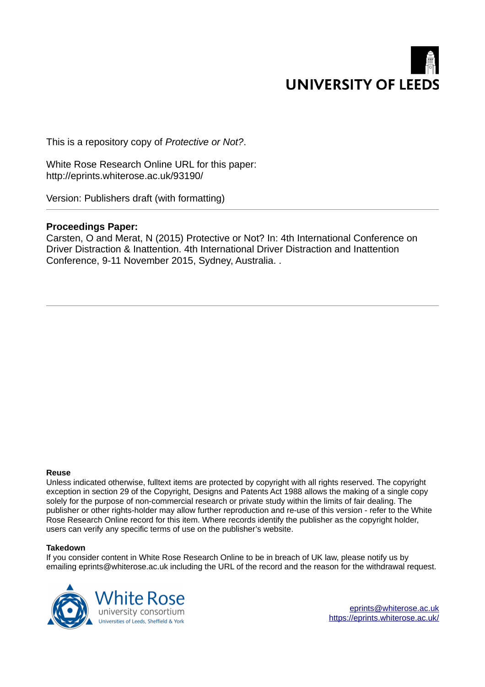

This is a repository copy of *Protective or Not?*.

White Rose Research Online URL for this paper: http://eprints.whiterose.ac.uk/93190/

Version: Publishers draft (with formatting)

### **Proceedings Paper:**

Carsten, O and Merat, N (2015) Protective or Not? In: 4th International Conference on Driver Distraction & Inattention. 4th International Driver Distraction and Inattention Conference, 9-11 November 2015, Sydney, Australia. .

#### **Reuse**

Unless indicated otherwise, fulltext items are protected by copyright with all rights reserved. The copyright exception in section 29 of the Copyright, Designs and Patents Act 1988 allows the making of a single copy solely for the purpose of non-commercial research or private study within the limits of fair dealing. The publisher or other rights-holder may allow further reproduction and re-use of this version - refer to the White Rose Research Online record for this item. Where records identify the publisher as the copyright holder, users can verify any specific terms of use on the publisher's website.

#### **Takedown**

If you consider content in White Rose Research Online to be in breach of UK law, please notify us by emailing eprints@whiterose.ac.uk including the URL of the record and the reason for the withdrawal request.



[eprints@whiterose.ac.uk](mailto:eprints@whiterose.ac.uk) <https://eprints.whiterose.ac.uk/>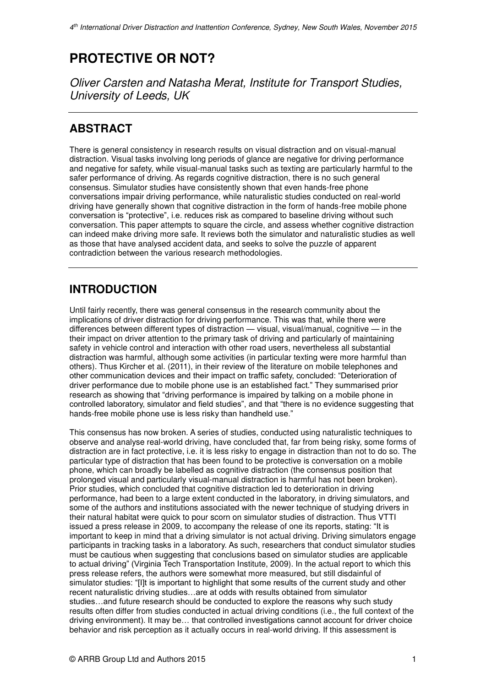# **PROTECTIVE OR NOT?**

*Oliver Carsten and Natasha Merat, Institute for Transport Studies, University of Leeds, UK* 

# **ABSTRACT**

There is general consistency in research results on visual distraction and on visual-manual distraction. Visual tasks involving long periods of glance are negative for driving performance and negative for safety, while visual-manual tasks such as texting are particularly harmful to the safer performance of driving. As regards cognitive distraction, there is no such general consensus. Simulator studies have consistently shown that even hands-free phone conversations impair driving performance, while naturalistic studies conducted on real-world driving have generally shown that cognitive distraction in the form of hands-free mobile phone conversation is "protective", i.e. reduces risk as compared to baseline driving without such conversation. This paper attempts to square the circle, and assess whether cognitive distraction can indeed make driving more safe. It reviews both the simulator and naturalistic studies as well as those that have analysed accident data, and seeks to solve the puzzle of apparent contradiction between the various research methodologies.

# **INTRODUCTION**

Until fairly recently, there was general consensus in the research community about the implications of driver distraction for driving performance. This was that, while there were differences between different types of distraction — visual, visual/manual, cognitive — in the their impact on driver attention to the primary task of driving and particularly of maintaining safety in vehicle control and interaction with other road users, nevertheless all substantial distraction was harmful, although some activities (in particular texting were more harmful than others). Thus Kircher et al. (2011), in their review of the literature on mobile telephones and other communication devices and their impact on traffic safety, concluded: "Deterioration of driver performance due to mobile phone use is an established fact." They summarised prior research as showing that "driving performance is impaired by talking on a mobile phone in controlled laboratory, simulator and field studies", and that "there is no evidence suggesting that hands-free mobile phone use is less risky than handheld use."

This consensus has now broken. A series of studies, conducted using naturalistic techniques to observe and analyse real-world driving, have concluded that, far from being risky, some forms of distraction are in fact protective, i.e. it is less risky to engage in distraction than not to do so. The particular type of distraction that has been found to be protective is conversation on a mobile phone, which can broadly be labelled as cognitive distraction (the consensus position that prolonged visual and particularly visual-manual distraction is harmful has not been broken). Prior studies, which concluded that cognitive distraction led to deterioration in driving performance, had been to a large extent conducted in the laboratory, in driving simulators, and some of the authors and institutions associated with the newer technique of studying drivers in their natural habitat were quick to pour scorn on simulator studies of distraction. Thus VTTI issued a press release in 2009, to accompany the release of one its reports, stating: "It is important to keep in mind that a driving simulator is not actual driving. Driving simulators engage participants in tracking tasks in a laboratory. As such, researchers that conduct simulator studies must be cautious when suggesting that conclusions based on simulator studies are applicable to actual driving" (Virginia Tech Transportation Institute, 2009). In the actual report to which this press release refers, the authors were somewhat more measured, but still disdainful of simulator studies: "[I]t is important to highlight that some results of the current study and other recent naturalistic driving studies…are at odds with results obtained from simulator studies…and future research should be conducted to explore the reasons why such study results often differ from studies conducted in actual driving conditions (i.e., the full context of the driving environment). It may be… that controlled investigations cannot account for driver choice behavior and risk perception as it actually occurs in real-world driving. If this assessment is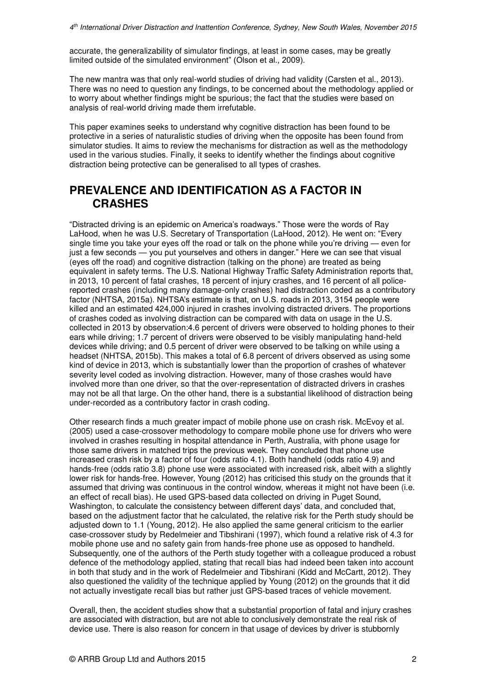accurate, the generalizability of simulator findings, at least in some cases, may be greatly limited outside of the simulated environment" (Olson et al., 2009).

The new mantra was that only real-world studies of driving had validity (Carsten et al., 2013). There was no need to question any findings, to be concerned about the methodology applied or to worry about whether findings might be spurious; the fact that the studies were based on analysis of real-world driving made them irrefutable.

This paper examines seeks to understand why cognitive distraction has been found to be protective in a series of naturalistic studies of driving when the opposite has been found from simulator studies. It aims to review the mechanisms for distraction as well as the methodology used in the various studies. Finally, it seeks to identify whether the findings about cognitive distraction being protective can be generalised to all types of crashes.

## **PREVALENCE AND IDENTIFICATION AS A FACTOR IN CRASHES**

"Distracted driving is an epidemic on America's roadways." Those were the words of Ray LaHood, when he was U.S. Secretary of Transportation (LaHood, 2012). He went on: "Every single time you take your eyes off the road or talk on the phone while you're driving — even for just a few seconds — you put yourselves and others in danger." Here we can see that visual (eyes off the road) and cognitive distraction (talking on the phone) are treated as being equivalent in safety terms. The U.S. National Highway Traffic Safety Administration reports that, in 2013, 10 percent of fatal crashes, 18 percent of injury crashes, and 16 percent of all policereported crashes (including many damage-only crashes) had distraction coded as a contributory factor (NHTSA, 2015a). NHTSA's estimate is that, on U.S. roads in 2013, 3154 people were killed and an estimated 424,000 injured in crashes involving distracted drivers. The proportions of crashes coded as involving distraction can be compared with data on usage in the U.S. collected in 2013 by observation:4.6 percent of drivers were observed to holding phones to their ears while driving; 1.7 percent of drivers were observed to be visibly manipulating hand-held devices while driving; and 0.5 percent of driver were observed to be talking on while using a headset (NHTSA, 2015b). This makes a total of 6.8 percent of drivers observed as using some kind of device in 2013, which is substantially lower than the proportion of crashes of whatever severity level coded as involving distraction. However, many of those crashes would have involved more than one driver, so that the over-representation of distracted drivers in crashes may not be all that large. On the other hand, there is a substantial likelihood of distraction being under-recorded as a contributory factor in crash coding.

Other research finds a much greater impact of mobile phone use on crash risk. McEvoy et al. (2005) used a case-crossover methodology to compare mobile phone use for drivers who were involved in crashes resulting in hospital attendance in Perth, Australia, with phone usage for those same drivers in matched trips the previous week. They concluded that phone use increased crash risk by a factor of four (odds ratio 4.1). Both handheld (odds ratio 4.9) and hands-free (odds ratio 3.8) phone use were associated with increased risk, albeit with a slightly lower risk for hands-free. However, Young (2012) has criticised this study on the grounds that it assumed that driving was continuous in the control window, whereas it might not have been (i.e. an effect of recall bias). He used GPS-based data collected on driving in Puget Sound, Washington, to calculate the consistency between different days' data, and concluded that, based on the adjustment factor that he calculated, the relative risk for the Perth study should be adjusted down to 1.1 (Young, 2012). He also applied the same general criticism to the earlier case-crossover study by Redelmeier and Tibshirani (1997), which found a relative risk of 4.3 for mobile phone use and no safety gain from hands-free phone use as opposed to handheld. Subsequently, one of the authors of the Perth study together with a colleague produced a robust defence of the methodology applied, stating that recall bias had indeed been taken into account in both that study and in the work of Redelmeier and Tibshirani (Kidd and McCartt, 2012). They also questioned the validity of the technique applied by Young (2012) on the grounds that it did not actually investigate recall bias but rather just GPS-based traces of vehicle movement.

Overall, then, the accident studies show that a substantial proportion of fatal and injury crashes are associated with distraction, but are not able to conclusively demonstrate the real risk of device use. There is also reason for concern in that usage of devices by driver is stubbornly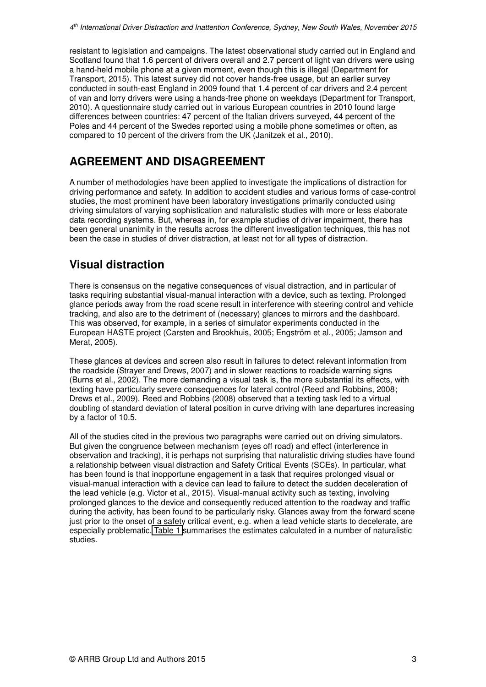<span id="page-3-0"></span>resistant to legislation and campaigns. The latest observational study carried out in England and Scotland found that 1.6 percent of drivers overall and 2.7 percent of light van drivers were using a hand-held mobile phone at a given moment, even though this is illegal (Department for Transport, 2015). This latest survey did not cover hands-free usage, but an earlier survey conducted in south-east England in 2009 found that 1.4 percent of car drivers and 2.4 percent of van and lorry drivers were using a hands-free phone on weekdays (Department for Transport, 2010). A questionnaire study carried out in various European countries in 2010 found large differences between countries: 47 percent of the Italian drivers surveyed, 44 percent of the Poles and 44 percent of the Swedes reported using a mobile phone sometimes or often, as compared to 10 percent of the drivers from the UK (Janitzek et al., 2010).

## **AGREEMENT AND DISAGREEMENT**

A number of methodologies have been applied to investigate the implications of distraction for driving performance and safety. In addition to accident studies and various forms of case-control studies, the most prominent have been laboratory investigations primarily conducted using driving simulators of varying sophistication and naturalistic studies with more or less elaborate data recording systems. But, whereas in, for example studies of driver impairment, there has been general unanimity in the results across the different investigation techniques, this has not been the case in studies of driver distraction, at least not for all types of distraction.

## **Visual distraction**

There is consensus on the negative consequences of visual distraction, and in particular of tasks requiring substantial visual-manual interaction with a device, such as texting. Prolonged glance periods away from the road scene result in interference with steering control and vehicle tracking, and also are to the detriment of (necessary) glances to mirrors and the dashboard. This was observed, for example, in a series of simulator experiments conducted in the European HASTE project (Carsten and Brookhuis, 2005; Engström et al., 2005; Jamson and Merat, 2005).

These glances at devices and screen also result in failures to detect relevant information from the roadside (Strayer and Drews, 2007) and in slower reactions to roadside warning signs (Burns et al., 2002). The more demanding a visual task is, the more substantial its effects, with texting have particularly severe consequences for lateral control (Reed and Robbins, 2008; Drews et al., 2009). Reed and Robbins (2008) observed that a texting task led to a virtual doubling of standard deviation of lateral position in curve driving with lane departures increasing by a factor of 10.5.

All of the studies cited in the previous two paragraphs were carried out on driving simulators. But given the congruence between mechanism (eyes off road) and effect (interference in observation and tracking), it is perhaps not surprising that naturalistic driving studies have found a relationship between visual distraction and Safety Critical Events (SCEs). In particular, what has been found is that inopportune engagement in a task that requires prolonged visual or visual-manual interaction with a device can lead to failure to detect the sudden deceleration of the lead vehicle (e.g. Victor et al., 2015). Visual-manual activity such as texting, involving prolonged glances to the device and consequently reduced attention to the roadway and traffic during the activity, has been found to be particularly risky. Glances away from the forward scene just prior to the onset of a safety critical event, e.g. when a lead vehicle starts to decelerate, are especially problematic. [Table 1](#page-3-0) summarises the estimates calculated in a number of naturalistic studies.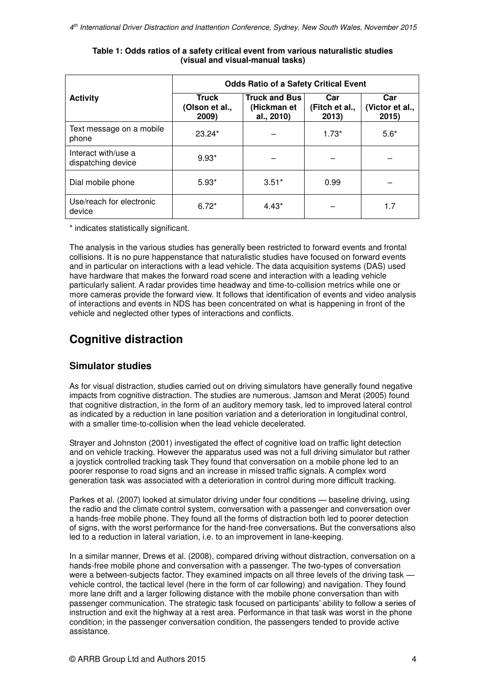|                                           | <b>Odds Ratio of a Safety Critical Event</b> |                                                   |                                |                                 |  |
|-------------------------------------------|----------------------------------------------|---------------------------------------------------|--------------------------------|---------------------------------|--|
| <b>Activity</b>                           | <b>Truck</b><br>(Olson et al.,<br>2009)      | <b>Truck and Bus</b><br>(Hickman et<br>al., 2010) | Car<br>(Fitch et al.,<br>2013) | Car<br>(Victor et al.,<br>2015) |  |
| Text message on a mobile<br>phone         | $23.24*$                                     |                                                   | $1.73*$                        | $5.6*$                          |  |
| Interact with/use a<br>dispatching device | $9.93*$                                      |                                                   |                                |                                 |  |
| Dial mobile phone                         | $5.93*$                                      | $3.51*$                                           | 0.99                           |                                 |  |
| Use/reach for electronic<br>device        | $6.72*$                                      | $4.43*$                                           |                                | 1.7                             |  |

### **Table 1: Odds ratios of a safety critical event from various naturalistic studies (visual and visual-manual tasks)**

\* indicates statistically significant.

The analysis in the various studies has generally been restricted to forward events and frontal collisions. It is no pure happenstance that naturalistic studies have focused on forward events and in particular on interactions with a lead vehicle. The data acquisition systems (DAS) used have hardware that makes the forward road scene and interaction with a leading vehicle particularly salient. A radar provides time headway and time-to-collision metrics while one or more cameras provide the forward view. It follows that identification of events and video analysis of interactions and events in NDS has been concentrated on what is happening in front of the vehicle and neglected other types of interactions and conflicts.

# **Cognitive distraction**

### **Simulator studies**

As for visual distraction, studies carried out on driving simulators have generally found negative impacts from cognitive distraction. The studies are numerous. Jamson and Merat (2005) found that cognitive distraction, in the form of an auditory memory task, led to improved lateral control as indicated by a reduction in lane position variation and a deterioration in longitudinal control, with a smaller time-to-collision when the lead vehicle decelerated.

Strayer and Johnston (2001) investigated the effect of cognitive load on traffic light detection and on vehicle tracking. However the apparatus used was not a full driving simulator but rather a joystick controlled tracking task They found that conversation on a mobile phone led to an poorer response to road signs and an increase in missed traffic signals. A complex word generation task was associated with a deterioration in control during more difficult tracking.

Parkes et al. (2007) looked at simulator driving under four conditions — baseline driving, using the radio and the climate control system, conversation with a passenger and conversation over a hands-free mobile phone. They found all the forms of distraction both led to poorer detection of signs, with the worst performance for the hand-free conversations. But the conversations also led to a reduction in lateral variation, i.e. to an improvement in lane-keeping.

In a similar manner, Drews et al. (2008), compared driving without distraction, conversation on a hands-free mobile phone and conversation with a passenger. The two-types of conversation were a between-subjects factor. They examined impacts on all three levels of the driving task vehicle control, the tactical level (here in the form of car following) and navigation. They found more lane drift and a larger following distance with the mobile phone conversation than with passenger communication. The strategic task focused on participants' ability to follow a series of instruction and exit the highway at a rest area. Performance in that task was worst in the phone condition; in the passenger conversation condition, the passengers tended to provide active assistance.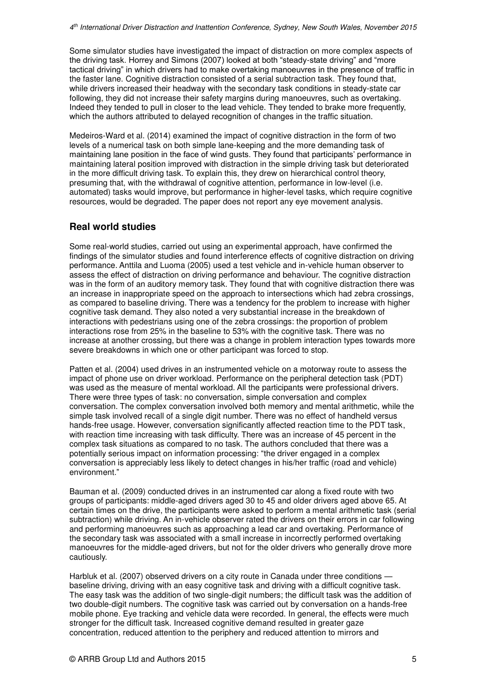Some simulator studies have investigated the impact of distraction on more complex aspects of the driving task. Horrey and Simons (2007) looked at both "steady-state driving" and "more tactical driving" in which drivers had to make overtaking manoeuvres in the presence of traffic in the faster lane. Cognitive distraction consisted of a serial subtraction task. They found that, while drivers increased their headway with the secondary task conditions in steady-state car following, they did not increase their safety margins during manoeuvres, such as overtaking. Indeed they tended to pull in closer to the lead vehicle. They tended to brake more frequently, which the authors attributed to delayed recognition of changes in the traffic situation.

Medeiros-Ward et al. (2014) examined the impact of cognitive distraction in the form of two levels of a numerical task on both simple lane-keeping and the more demanding task of maintaining lane position in the face of wind gusts. They found that participants' performance in maintaining lateral position improved with distraction in the simple driving task but deteriorated in the more difficult driving task. To explain this, they drew on hierarchical control theory, presuming that, with the withdrawal of cognitive attention, performance in low-level (i.e. automated) tasks would improve, but performance in higher-level tasks, which require cognitive resources, would be degraded. The paper does not report any eye movement analysis.

### **Real world studies**

Some real-world studies, carried out using an experimental approach, have confirmed the findings of the simulator studies and found interference effects of cognitive distraction on driving performance. Anttila and Luoma (2005) used a test vehicle and in-vehicle human observer to assess the effect of distraction on driving performance and behaviour. The cognitive distraction was in the form of an auditory memory task. They found that with cognitive distraction there was an increase in inappropriate speed on the approach to intersections which had zebra crossings, as compared to baseline driving. There was a tendency for the problem to increase with higher cognitive task demand. They also noted a very substantial increase in the breakdown of interactions with pedestrians using one of the zebra crossings: the proportion of problem interactions rose from 25% in the baseline to 53% with the cognitive task. There was no increase at another crossing, but there was a change in problem interaction types towards more severe breakdowns in which one or other participant was forced to stop.

Patten et al. (2004) used drives in an instrumented vehicle on a motorway route to assess the impact of phone use on driver workload. Performance on the peripheral detection task (PDT) was used as the measure of mental workload. All the participants were professional drivers. There were three types of task: no conversation, simple conversation and complex conversation. The complex conversation involved both memory and mental arithmetic, while the simple task involved recall of a single digit number. There was no effect of handheld versus hands-free usage. However, conversation significantly affected reaction time to the PDT task, with reaction time increasing with task difficulty. There was an increase of 45 percent in the complex task situations as compared to no task. The authors concluded that there was a potentially serious impact on information processing: "the driver engaged in a complex conversation is appreciably less likely to detect changes in his/her traffic (road and vehicle) environment."

Bauman et al. (2009) conducted drives in an instrumented car along a fixed route with two groups of participants: middle-aged drivers aged 30 to 45 and older drivers aged above 65. At certain times on the drive, the participants were asked to perform a mental arithmetic task (serial subtraction) while driving. An in-vehicle observer rated the drivers on their errors in car following and performing manoeuvres such as approaching a lead car and overtaking. Performance of the secondary task was associated with a small increase in incorrectly performed overtaking manoeuvres for the middle-aged drivers, but not for the older drivers who generally drove more cautiously.

Harbluk et al. (2007) observed drivers on a city route in Canada under three conditions baseline driving, driving with an easy cognitive task and driving with a difficult cognitive task. The easy task was the addition of two single-digit numbers; the difficult task was the addition of two double-digit numbers. The cognitive task was carried out by conversation on a hands-free mobile phone. Eye tracking and vehicle data were recorded. In general, the effects were much stronger for the difficult task. Increased cognitive demand resulted in greater gaze concentration, reduced attention to the periphery and reduced attention to mirrors and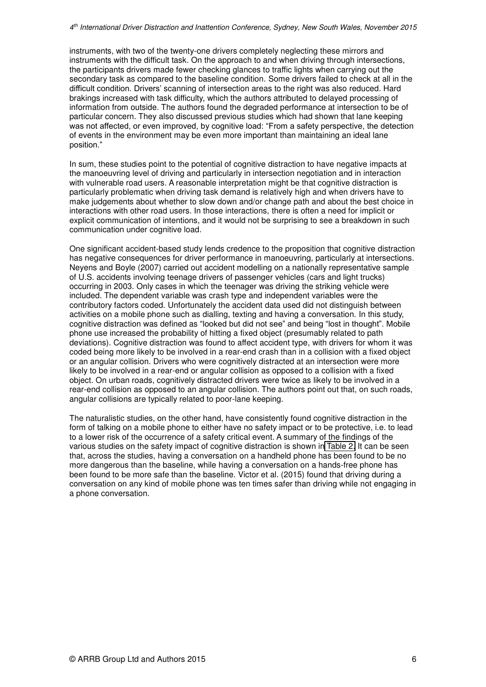<span id="page-6-0"></span>instruments, with two of the twenty-one drivers completely neglecting these mirrors and instruments with the difficult task. On the approach to and when driving through intersections, the participants drivers made fewer checking glances to traffic lights when carrying out the secondary task as compared to the baseline condition. Some drivers failed to check at all in the difficult condition. Drivers' scanning of intersection areas to the right was also reduced. Hard brakings increased with task difficulty, which the authors attributed to delayed processing of information from outside. The authors found the degraded performance at intersection to be of particular concern. They also discussed previous studies which had shown that lane keeping was not affected, or even improved, by cognitive load: "From a safety perspective, the detection of events in the environment may be even more important than maintaining an ideal lane position."

In sum, these studies point to the potential of cognitive distraction to have negative impacts at the manoeuvring level of driving and particularly in intersection negotiation and in interaction with vulnerable road users. A reasonable interpretation might be that cognitive distraction is particularly problematic when driving task demand is relatively high and when drivers have to make judgements about whether to slow down and/or change path and about the best choice in interactions with other road users. In those interactions, there is often a need for implicit or explicit communication of intentions, and it would not be surprising to see a breakdown in such communication under cognitive load.

One significant accident-based study lends credence to the proposition that cognitive distraction has negative consequences for driver performance in manoeuvring, particularly at intersections. Neyens and Boyle (2007) carried out accident modelling on a nationally representative sample of U.S. accidents involving teenage drivers of passenger vehicles (cars and light trucks) occurring in 2003. Only cases in which the teenager was driving the striking vehicle were included. The dependent variable was crash type and independent variables were the contributory factors coded. Unfortunately the accident data used did not distinguish between activities on a mobile phone such as dialling, texting and having a conversation. In this study, cognitive distraction was defined as "looked but did not see" and being "lost in thought". Mobile phone use increased the probability of hitting a fixed object (presumably related to path deviations). Cognitive distraction was found to affect accident type, with drivers for whom it was coded being more likely to be involved in a rear-end crash than in a collision with a fixed object or an angular collision. Drivers who were cognitively distracted at an intersection were more likely to be involved in a rear-end or angular collision as opposed to a collision with a fixed object. On urban roads, cognitively distracted drivers were twice as likely to be involved in a rear-end collision as opposed to an angular collision. The authors point out that, on such roads, angular collisions are typically related to poor-lane keeping.

The naturalistic studies, on the other hand, have consistently found cognitive distraction in the form of talking on a mobile phone to either have no safety impact or to be protective, i.e. to lead to a lower risk of the occurrence of a safety critical event. A summary of the findings of the various studies on the safety impact of cognitive distraction is shown in [Table 2.](#page-6-0) It can be seen that, across the studies, having a conversation on a handheld phone has been found to be no more dangerous than the baseline, while having a conversation on a hands-free phone has been found to be more safe than the baseline. Victor et al. (2015) found that driving during a conversation on any kind of mobile phone was ten times safer than driving while not engaging in a phone conversation.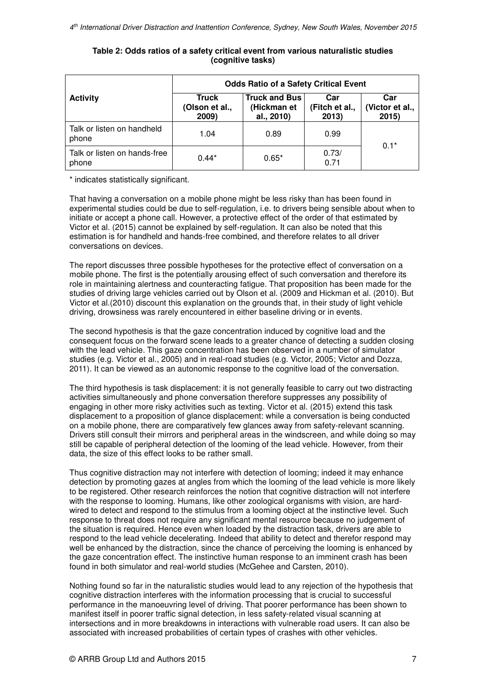|                                       | <b>Odds Ratio of a Safety Critical Event</b> |                                                   |                                |                                |  |
|---------------------------------------|----------------------------------------------|---------------------------------------------------|--------------------------------|--------------------------------|--|
| <b>Activity</b>                       | Truck<br>(Olson et al.,<br>2009)             | <b>Truck and Bus</b><br>(Hickman et<br>al., 2010) | Car<br>(Fitch et al.,<br>2013) | Car<br>(Victor et al.,<br>2015 |  |
| Talk or listen on handheld<br>phone   | 1.04                                         | 0.89                                              | 0.99                           | $0.1*$                         |  |
| Talk or listen on hands-free<br>phone | $0.44*$                                      | $0.65*$                                           | 0.73/<br>0.71                  |                                |  |

### **Table 2: Odds ratios of a safety critical event from various naturalistic studies (cognitive tasks)**

\* indicates statistically significant.

That having a conversation on a mobile phone might be less risky than has been found in experimental studies could be due to self-regulation, i.e. to drivers being sensible about when to initiate or accept a phone call. However, a protective effect of the order of that estimated by Victor et al. (2015) cannot be explained by self-regulation. It can also be noted that this estimation is for handheld and hands-free combined, and therefore relates to all driver conversations on devices.

The report discusses three possible hypotheses for the protective effect of conversation on a mobile phone. The first is the potentially arousing effect of such conversation and therefore its role in maintaining alertness and counteracting fatigue. That proposition has been made for the studies of driving large vehicles carried out by Olson et al. (2009 and Hickman et al. (2010). But Victor et al.(2010) discount this explanation on the grounds that, in their study of light vehicle driving, drowsiness was rarely encountered in either baseline driving or in events.

The second hypothesis is that the gaze concentration induced by cognitive load and the consequent focus on the forward scene leads to a greater chance of detecting a sudden closing with the lead vehicle. This gaze concentration has been observed in a number of simulator studies (e.g. Victor et al., 2005) and in real-road studies (e.g. Victor, 2005; Victor and Dozza, 2011). It can be viewed as an autonomic response to the cognitive load of the conversation.

The third hypothesis is task displacement: it is not generally feasible to carry out two distracting activities simultaneously and phone conversation therefore suppresses any possibility of engaging in other more risky activities such as texting. Victor et al. (2015) extend this task displacement to a proposition of glance displacement: while a conversation is being conducted on a mobile phone, there are comparatively few glances away from safety-relevant scanning. Drivers still consult their mirrors and peripheral areas in the windscreen, and while doing so may still be capable of peripheral detection of the looming of the lead vehicle. However, from their data, the size of this effect looks to be rather small.

Thus cognitive distraction may not interfere with detection of looming; indeed it may enhance detection by promoting gazes at angles from which the looming of the lead vehicle is more likely to be registered. Other research reinforces the notion that cognitive distraction will not interfere with the response to looming. Humans, like other zoological organisms with vision, are hardwired to detect and respond to the stimulus from a looming object at the instinctive level. Such response to threat does not require any significant mental resource because no judgement of the situation is required. Hence even when loaded by the distraction task, drivers are able to respond to the lead vehicle decelerating. Indeed that ability to detect and therefor respond may well be enhanced by the distraction, since the chance of perceiving the looming is enhanced by the gaze concentration effect. The instinctive human response to an imminent crash has been found in both simulator and real-world studies (McGehee and Carsten, 2010).

Nothing found so far in the naturalistic studies would lead to any rejection of the hypothesis that cognitive distraction interferes with the information processing that is crucial to successful performance in the manoeuvring level of driving. That poorer performance has been shown to manifest itself in poorer traffic signal detection, in less safety-related visual scanning at intersections and in more breakdowns in interactions with vulnerable road users. It can also be associated with increased probabilities of certain types of crashes with other vehicles.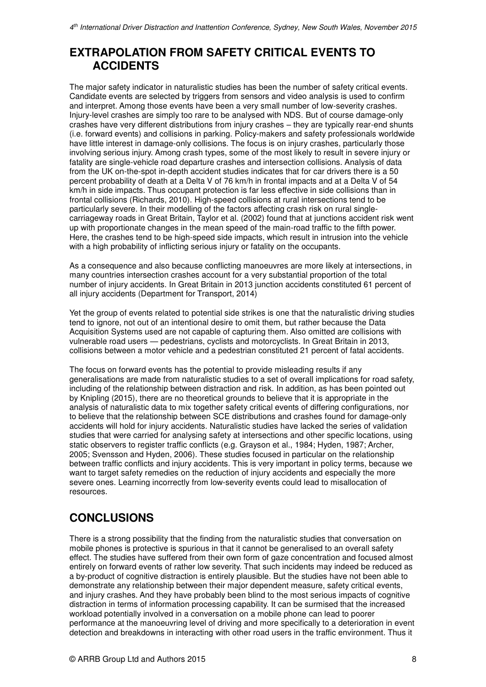## **EXTRAPOLATION FROM SAFETY CRITICAL EVENTS TO ACCIDENTS**

The major safety indicator in naturalistic studies has been the number of safety critical events. Candidate events are selected by triggers from sensors and video analysis is used to confirm and interpret. Among those events have been a very small number of low-severity crashes. Injury-level crashes are simply too rare to be analysed with NDS. But of course damage-only crashes have very different distributions from injury crashes – they are typically rear-end shunts (i.e. forward events) and collisions in parking. Policy-makers and safety professionals worldwide have little interest in damage-only collisions. The focus is on injury crashes, particularly those involving serious injury. Among crash types, some of the most likely to result in severe injury or fatality are single-vehicle road departure crashes and intersection collisions. Analysis of data from the UK on-the-spot in-depth accident studies indicates that for car drivers there is a 50 percent probability of death at a Delta V of 76 km/h in frontal impacts and at a Delta V of 54 km/h in side impacts. Thus occupant protection is far less effective in side collisions than in frontal collisions (Richards, 2010). High-speed collisions at rural intersections tend to be particularly severe. In their modelling of the factors affecting crash risk on rural singlecarriageway roads in Great Britain, Taylor et al. (2002) found that at junctions accident risk went up with proportionate changes in the mean speed of the main-road traffic to the fifth power. Here, the crashes tend to be high-speed side impacts, which result in intrusion into the vehicle with a high probability of inflicting serious injury or fatality on the occupants.

As a consequence and also because conflicting manoeuvres are more likely at intersections, in many countries intersection crashes account for a very substantial proportion of the total number of injury accidents. In Great Britain in 2013 junction accidents constituted 61 percent of all injury accidents (Department for Transport, 2014)

Yet the group of events related to potential side strikes is one that the naturalistic driving studies tend to ignore, not out of an intentional desire to omit them, but rather because the Data Acquisition Systems used are not capable of capturing them. Also omitted are collisions with vulnerable road users — pedestrians, cyclists and motorcyclists. In Great Britain in 2013, collisions between a motor vehicle and a pedestrian constituted 21 percent of fatal accidents.

The focus on forward events has the potential to provide misleading results if any generalisations are made from naturalistic studies to a set of overall implications for road safety, including of the relationship between distraction and risk. In addition, as has been pointed out by Knipling (2015), there are no theoretical grounds to believe that it is appropriate in the analysis of naturalistic data to mix together safety critical events of differing configurations, nor to believe that the relationship between SCE distributions and crashes found for damage-only accidents will hold for injury accidents. Naturalistic studies have lacked the series of validation studies that were carried for analysing safety at intersections and other specific locations, using static observers to register traffic conflicts (e.g. Grayson et al., 1984; Hyden, 1987; Archer, 2005; Svensson and Hyden, 2006). These studies focused in particular on the relationship between traffic conflicts and injury accidents. This is very important in policy terms, because we want to target safety remedies on the reduction of injury accidents and especially the more severe ones. Learning incorrectly from low-severity events could lead to misallocation of resources.

## **CONCLUSIONS**

There is a strong possibility that the finding from the naturalistic studies that conversation on mobile phones is protective is spurious in that it cannot be generalised to an overall safety effect. The studies have suffered from their own form of gaze concentration and focused almost entirely on forward events of rather low severity. That such incidents may indeed be reduced as a by-product of cognitive distraction is entirely plausible. But the studies have not been able to demonstrate any relationship between their major dependent measure, safety critical events, and injury crashes. And they have probably been blind to the most serious impacts of cognitive distraction in terms of information processing capability. It can be surmised that the increased workload potentially involved in a conversation on a mobile phone can lead to poorer performance at the manoeuvring level of driving and more specifically to a deterioration in event detection and breakdowns in interacting with other road users in the traffic environment. Thus it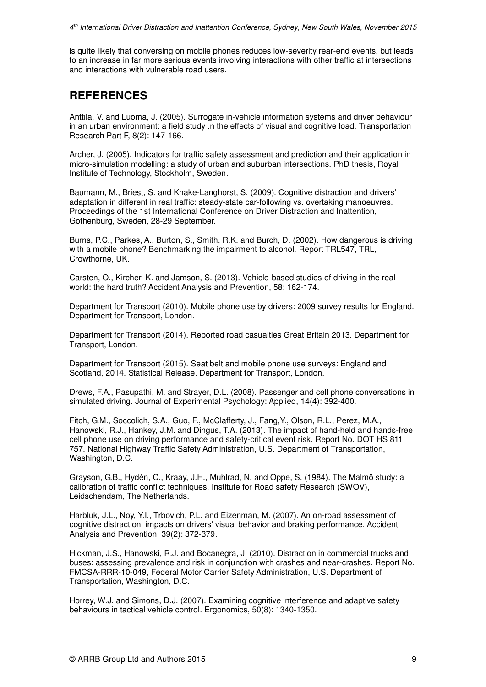is quite likely that conversing on mobile phones reduces low-severity rear-end events, but leads to an increase in far more serious events involving interactions with other traffic at intersections and interactions with vulnerable road users.

## **REFERENCES**

Anttila, V. and Luoma, J. (2005). Surrogate in-vehicle information systems and driver behaviour in an urban environment: a field study .n the effects of visual and cognitive load. Transportation Research Part F, 8(2): 147-166.

Archer, J. (2005). Indicators for traffic safety assessment and prediction and their application in micro-simulation modelling: a study of urban and suburban intersections. PhD thesis, Royal Institute of Technology, Stockholm, Sweden.

Baumann, M., Briest, S. and Knake-Langhorst, S. (2009). Cognitive distraction and drivers' adaptation in different in real traffic: steady-state car-following vs. overtaking manoeuvres. Proceedings of the 1st International Conference on Driver Distraction and Inattention, Gothenburg, Sweden, 28-29 September.

Burns, P.C., Parkes, A., Burton, S., Smith. R.K. and Burch, D. (2002). How dangerous is driving with a mobile phone? Benchmarking the impairment to alcohol. Report TRL547, TRL, Crowthorne, UK.

Carsten, O., Kircher, K. and Jamson, S. (2013). Vehicle-based studies of driving in the real world: the hard truth? Accident Analysis and Prevention, 58: 162-174.

Department for Transport (2010). Mobile phone use by drivers: 2009 survey results for England. Department for Transport, London.

Department for Transport (2014). Reported road casualties Great Britain 2013. Department for Transport, London.

Department for Transport (2015). Seat belt and mobile phone use surveys: England and Scotland, 2014. Statistical Release. Department for Transport, London.

Drews, F.A., Pasupathi, M. and Strayer, D.L. (2008). Passenger and cell phone conversations in simulated driving. Journal of Experimental Psychology: Applied, 14(4): 392-400.

Fitch, G.M., Soccolich, S.A., Guo, F., McClafferty, J., Fang,Y., Olson, R.L., Perez, M.A., Hanowski, R.J., Hankey, J.M. and Dingus, T.A. (2013). The impact of hand-held and hands-free cell phone use on driving performance and safety-critical event risk. Report No. DOT HS 811 757. National Highway Traffic Safety Administration, U.S. Department of Transportation, Washington, D.C.

Grayson, G.B., Hydén, C., Kraay, J.H., Muhlrad, N. and Oppe, S. (1984). The Malmö study: a calibration of traffic conflict techniques. Institute for Road safety Research (SWOV), Leidschendam, The Netherlands.

Harbluk, J.L., Noy, Y.I., Trbovich, P.L. and Eizenman, M. (2007). An on-road assessment of cognitive distraction: impacts on drivers' visual behavior and braking performance. Accident Analysis and Prevention, 39(2): 372-379.

Hickman, J.S., Hanowski, R.J. and Bocanegra, J. (2010). Distraction in commercial trucks and buses: assessing prevalence and risk in conjunction with crashes and near-crashes. Report No. FMCSA-RRR-10-049, Federal Motor Carrier Safety Administration, U.S. Department of Transportation, Washington, D.C.

Horrey, W.J. and Simons, D.J. (2007). Examining cognitive interference and adaptive safety behaviours in tactical vehicle control. Ergonomics, 50(8): 1340-1350.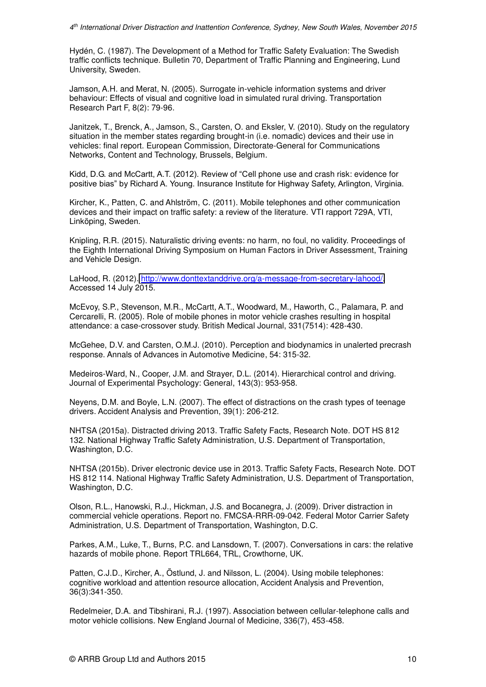Hydén, C. (1987). The Development of a Method for Traffic Safety Evaluation: The Swedish traffic conflicts technique. Bulletin 70, Department of Traffic Planning and Engineering, Lund University, Sweden.

Jamson, A.H. and Merat, N. (2005). Surrogate in-vehicle information systems and driver behaviour: Effects of visual and cognitive load in simulated rural driving. Transportation Research Part F, 8(2): 79-96.

Janitzek, T., Brenck, A., Jamson, S., Carsten, O. and Eksler, V. (2010). Study on the regulatory situation in the member states regarding brought-in (i.e. nomadic) devices and their use in vehicles: final report. European Commission, Directorate-General for Communications Networks, Content and Technology, Brussels, Belgium.

Kidd, D.G. and McCartt, A.T. (2012). Review of "Cell phone use and crash risk: evidence for positive bias" by Richard A. Young. Insurance Institute for Highway Safety, Arlington, Virginia.

Kircher, K., Patten, C. and Ahlström, C. (2011). Mobile telephones and other communication devices and their impact on traffic safety: a review of the literature. VTI rapport 729A, VTI, Linköping, Sweden.

Knipling, R.R. (2015). Naturalistic driving events: no harm, no foul, no validity. Proceedings of the Eighth International Driving Symposium on Human Factors in Driver Assessment, Training and Vehicle Design.

LaHood, R. (2012). [http://www.donttextanddrive.org/a-message-from-secretary-lahood/.](http://www.donttextanddrive.org/a-message-from-secretary-lahood/) Accessed 14 July 2015.

McEvoy, S.P., Stevenson, M.R., McCartt, A.T., Woodward, M., Haworth, C., Palamara, P. and Cercarelli, R. (2005). Role of mobile phones in motor vehicle crashes resulting in hospital attendance: a case-crossover study. British Medical Journal, 331(7514): 428-430.

McGehee, D.V. and Carsten, O.M.J. (2010). Perception and biodynamics in unalerted precrash response. Annals of Advances in Automotive Medicine, 54: 315-32.

Medeiros-Ward, N., Cooper, J.M. and Strayer, D.L. (2014). Hierarchical control and driving. Journal of Experimental Psychology: General, 143(3): 953-958.

Neyens, D.M. and Boyle, L.N. (2007). The effect of distractions on the crash types of teenage drivers. Accident Analysis and Prevention, 39(1): 206-212.

NHTSA (2015a). Distracted driving 2013. Traffic Safety Facts, Research Note. DOT HS 812 132. National Highway Traffic Safety Administration, U.S. Department of Transportation, Washington, D.C.

NHTSA (2015b). Driver electronic device use in 2013. Traffic Safety Facts, Research Note. DOT HS 812 114. National Highway Traffic Safety Administration, U.S. Department of Transportation, Washington, D.C.

Olson, R.L., Hanowski, R.J., Hickman, J.S. and Bocanegra, J. (2009). Driver distraction in commercial vehicle operations. Report no. FMCSA-RRR-09-042. Federal Motor Carrier Safety Administration, U.S. Department of Transportation, Washington, D.C.

Parkes, A.M., Luke, T., Burns, P.C. and Lansdown, T. (2007). Conversations in cars: the relative hazards of mobile phone. Report TRL664, TRL, Crowthorne, UK.

Patten, C.J.D., Kircher, A., Östlund, J. and Nilsson, L. (2004). Using mobile telephones: cognitive workload and attention resource allocation, Accident Analysis and Prevention, 36(3):341-350.

Redelmeier, D.A. and Tibshirani, R.J. (1997). Association between cellular-telephone calls and motor vehicle collisions. New England Journal of Medicine, 336(7), 453-458.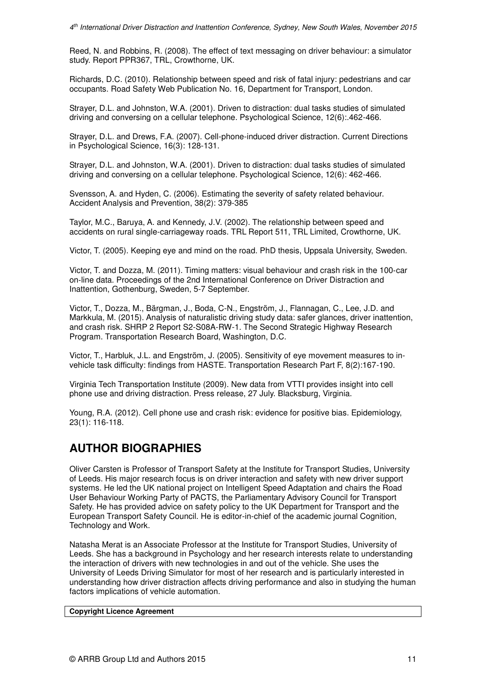Reed, N. and Robbins, R. (2008). The effect of text messaging on driver behaviour: a simulator study. Report PPR367, TRL, Crowthorne, UK.

Richards, D.C. (2010). Relationship between speed and risk of fatal injury: pedestrians and car occupants. Road Safety Web Publication No. 16, Department for Transport, London.

Strayer, D.L. and Johnston, W.A. (2001). Driven to distraction: dual tasks studies of simulated driving and conversing on a cellular telephone. Psychological Science, 12(6):.462-466.

Strayer, D.L. and Drews, F.A. (2007). Cell-phone-induced driver distraction. Current Directions in Psychological Science, 16(3): 128-131.

Strayer, D.L. and Johnston, W.A. (2001). Driven to distraction: dual tasks studies of simulated driving and conversing on a cellular telephone. Psychological Science, 12(6): 462-466.

Svensson, A. and Hyden, C. (2006). Estimating the severity of safety related behaviour. Accident Analysis and Prevention, 38(2): 379-385

Taylor, M.C., Baruya, A. and Kennedy, J.V. (2002). The relationship between speed and accidents on rural single-carriageway roads. TRL Report 511, TRL Limited, Crowthorne, UK.

Victor, T. (2005). Keeping eye and mind on the road. PhD thesis, Uppsala University, Sweden.

Victor, T. and Dozza, M. (2011). Timing matters: visual behaviour and crash risk in the 100-car on-line data. Proceedings of the 2nd International Conference on Driver Distraction and Inattention, Gothenburg, Sweden, 5-7 September.

Victor, T., Dozza, M., Bärgman, J., Boda, C-N., Engström, J., Flannagan, C., Lee, J.D. and Markkula, M. (2015). Analysis of naturalistic driving study data: safer glances, driver inattention, and crash risk. SHRP 2 Report S2-S08A-RW-1. The Second Strategic Highway Research Program. Transportation Research Board, Washington, D.C.

Victor, T., Harbluk, J.L. and Engström, J. (2005). Sensitivity of eye movement measures to invehicle task difficulty: findings from HASTE. Transportation Research Part F, 8(2):167-190.

Virginia Tech Transportation Institute (2009). New data from VTTI provides insight into cell phone use and driving distraction. Press release, 27 July. Blacksburg, Virginia.

Young, R.A. (2012). Cell phone use and crash risk: evidence for positive bias. Epidemiology, 23(1): 116-118.

## **AUTHOR BIOGRAPHIES**

Oliver Carsten is Professor of Transport Safety at the Institute for Transport Studies, University of Leeds. His major research focus is on driver interaction and safety with new driver support systems. He led the UK national project on Intelligent Speed Adaptation and chairs the Road User Behaviour Working Party of PACTS, the Parliamentary Advisory Council for Transport Safety. He has provided advice on safety policy to the UK Department for Transport and the European Transport Safety Council. He is editor-in-chief of the academic journal Cognition, Technology and Work.

Natasha Merat is an Associate Professor at the Institute for Transport Studies, University of Leeds. She has a background in Psychology and her research interests relate to understanding the interaction of drivers with new technologies in and out of the vehicle. She uses the University of Leeds Driving Simulator for most of her research and is particularly interested in understanding how driver distraction affects driving performance and also in studying the human factors implications of vehicle automation.

#### **Copyright Licence Agreement**